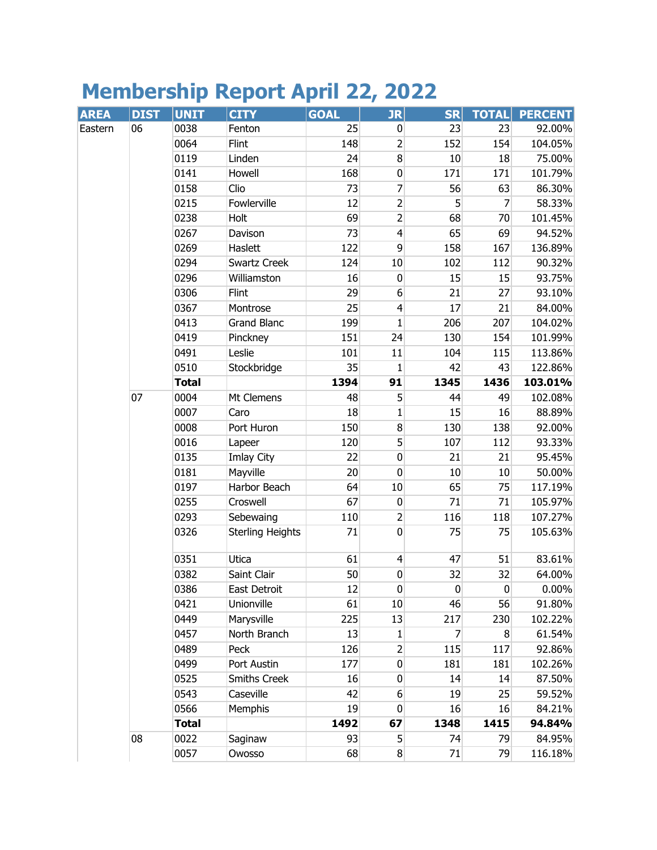## **Membership Report April 22, 2022**

| <b>AREA</b> | <b>DIST</b> | <b>UNIT</b>  | <b>CITY</b>             | <b>GOAL</b> | $J_{\rm R}$      | <b>SR</b> | <b>TOTAL</b> | <b>PERCENT</b> |
|-------------|-------------|--------------|-------------------------|-------------|------------------|-----------|--------------|----------------|
| Eastern     | 06          | 0038         | Fenton                  | 25          | $\overline{0}$   | 23        | 23           | 92.00%         |
|             |             | 0064         | Flint                   | 148         | $\overline{2}$   | 152       | 154          | 104.05%        |
|             |             | 0119         | Linden                  | 24          | 8                | 10        | 18           | 75.00%         |
|             |             | 0141         | Howell                  | 168         | $\overline{0}$   | 171       | 171          | 101.79%        |
|             |             | 0158         | Clio                    | 73          | 7                | 56        | 63           | 86.30%         |
|             |             | 0215         | Fowlerville             | 12          | $\overline{2}$   | 5         | 7            | 58.33%         |
|             |             | 0238         | Holt                    | 69          | $\overline{2}$   | 68        | 70           | 101.45%        |
|             |             | 0267         | Davison                 | 73          | $\overline{4}$   | 65        | 69           | 94.52%         |
|             |             | 0269         | Haslett                 | 122         | 9                | 158       | 167          | 136.89%        |
|             |             | 0294         | Swartz Creek            | 124         | $10\,$           | 102       | 112          | 90.32%         |
|             |             | 0296         | Williamston             | 16          | $\pmb{0}$        | 15        | 15           | 93.75%         |
|             |             | 0306         | Flint                   | 29          | $6\,$            | 21        | 27           | 93.10%         |
|             |             | 0367         | Montrose                | 25          | $\overline{4}$   | 17        | 21           | 84.00%         |
|             |             | 0413         | <b>Grand Blanc</b>      | 199         | $\mathbf{1}$     | 206       | 207          | 104.02%        |
|             |             | 0419         | Pinckney                | 151         | 24               | 130       | 154          | 101.99%        |
|             |             | 0491         | Leslie                  | 101         | 11               | 104       | 115          | 113.86%        |
|             |             | 0510         | Stockbridge             | 35          | $\mathbf{1}$     | 42        | 43           | 122.86%        |
|             |             | <b>Total</b> |                         | 1394        | 91               | 1345      | 1436         | 103.01%        |
|             | 07          | 0004         | Mt Clemens              | 48          | 5                | 44        | 49           | 102.08%        |
|             |             | 0007         | Caro                    | 18          | $\mathbf 1$      | 15        | 16           | 88.89%         |
|             |             | 0008         | Port Huron              | 150         | $\bf{8}$         | 130       | 138          | 92.00%         |
|             |             | 0016         | Lapeer                  | 120         | 5                | 107       | 112          | 93.33%         |
|             |             | 0135         | Imlay City              | 22          | $\pmb{0}$        | 21        | 21           | 95.45%         |
|             |             | 0181         | Mayville                | 20          | $\overline{0}$   | 10        | $10\,$       | 50.00%         |
|             |             | 0197         | Harbor Beach            | 64          | $10\,$           | 65        | 75           | 117.19%        |
|             |             | 0255         | Croswell                | 67          | $\pmb{0}$        | 71        | 71           | 105.97%        |
|             |             | 0293         | Sebewaing               | 110         | $\overline{2}$   | 116       | 118          | 107.27%        |
|             |             | 0326         | <b>Sterling Heights</b> | 71          | $\overline{0}$   | 75        | 75           | 105.63%        |
|             |             | 0351         | Utica                   | 61          | $\overline{4}$   | 47        | 51           | 83.61%         |
|             |             | 0382         | Saint Clair             | 50          | $\boldsymbol{0}$ | 32        | 32           | 64.00%         |
|             |             | 0386         | East Detroit            | 12          | $\boldsymbol{0}$ | $\pmb{0}$ | $\pmb{0}$    | $0.00\%$       |
|             |             | 0421         | Unionville              | 61          | 10               | 46        | 56           | 91.80%         |
|             |             | 0449         | Marysville              | 225         | 13               | 217       | 230          | 102.22%        |
|             |             | 0457         | North Branch            | 13          | $\mathbf{1}$     | 7         | 8            | 61.54%         |
|             |             | 0489         | Peck                    | 126         | $\overline{2}$   | 115       | 117          | 92.86%         |
|             |             | 0499         | Port Austin             | 177         | $\boldsymbol{0}$ | 181       | 181          | 102.26%        |
|             |             | 0525         | <b>Smiths Creek</b>     | 16          | $\boldsymbol{0}$ | 14        | 14           | 87.50%         |
|             |             | 0543         | Caseville               | 42          | $6 \overline{6}$ | 19        | 25           | 59.52%         |
|             |             | 0566         | <b>Memphis</b>          | 19          | $\pmb{0}$        | 16        | 16           | 84.21%         |
|             |             | <b>Total</b> |                         | 1492        | 67               | 1348      | 1415         | 94.84%         |
|             | 08          | 0022         | Saginaw                 | 93          | 5 <sup>1</sup>   | 74        | 79           | 84.95%         |
|             |             | 0057         | Owosso                  | 68          | $\bf 8$          | 71        | 79           | 116.18%        |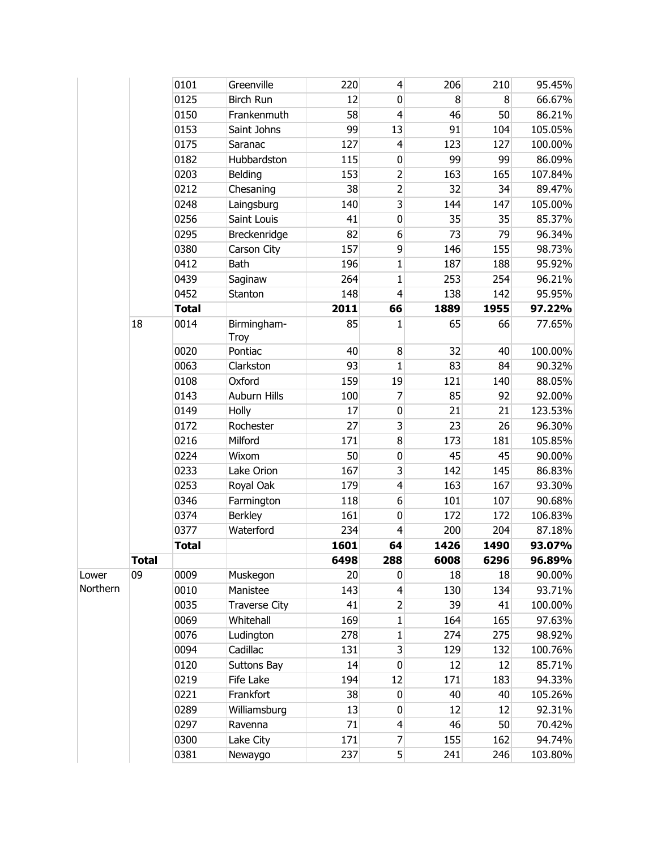|          |              | 0101         | Greenville           | 220  | $\overline{4}$          | 206  | 210  | 95.45%  |
|----------|--------------|--------------|----------------------|------|-------------------------|------|------|---------|
|          |              | 0125         | <b>Birch Run</b>     | 12   | 0                       | 8    | 8    | 66.67%  |
|          |              | 0150         | Frankenmuth          | 58   | $\overline{4}$          | 46   | 50   | 86.21%  |
|          |              | 0153         | Saint Johns          | 99   | 13                      | 91   | 104  | 105.05% |
|          |              | 0175         | Saranac              | 127  | $\overline{4}$          | 123  | 127  | 100.00% |
|          |              | 0182         | Hubbardston          | 115  | 0                       | 99   | 99   | 86.09%  |
|          |              | 0203         | Belding              | 153  | $\overline{2}$          | 163  | 165  | 107.84% |
|          |              | 0212         | Chesaning            | 38   | $\overline{2}$          | 32   | 34   | 89.47%  |
|          |              | 0248         | Laingsburg           | 140  | $\overline{3}$          | 144  | 147  | 105.00% |
|          |              | 0256         | Saint Louis          | 41   | $\boldsymbol{0}$        | 35   | 35   | 85.37%  |
|          |              | 0295         | Breckenridge         | 82   | 6                       | 73   | 79   | 96.34%  |
|          |              | 0380         | Carson City          | 157  | 9                       | 146  | 155  | 98.73%  |
|          |              | 0412         | Bath                 | 196  | $\mathbf{1}$            | 187  | 188  | 95.92%  |
|          |              | 0439         | Saginaw              | 264  | $\mathbf{1}$            | 253  | 254  | 96.21%  |
|          |              | 0452         | Stanton              | 148  | $\overline{4}$          | 138  | 142  | 95.95%  |
|          |              | <b>Total</b> |                      | 2011 | 66                      | 1889 | 1955 | 97.22%  |
|          | 18           | 0014         | Birmingham-<br>Troy  | 85   | 1                       | 65   | 66   | 77.65%  |
|          |              | 0020         | Pontiac              | 40   | 8                       | 32   | 40   | 100.00% |
|          |              | 0063         | Clarkston            | 93   | $\mathbf{1}$            | 83   | 84   | 90.32%  |
|          |              | 0108         | Oxford               | 159  | 19                      | 121  | 140  | 88.05%  |
|          |              | 0143         | Auburn Hills         | 100  | 7                       | 85   | 92   | 92.00%  |
|          |              | 0149         | Holly                | 17   | $\pmb{0}$               | 21   | 21   | 123.53% |
|          |              | 0172         | Rochester            | 27   | $\overline{\mathbf{3}}$ | 23   | 26   | 96.30%  |
|          |              | 0216         | Milford              | 171  | 8                       | 173  | 181  | 105.85% |
|          |              | 0224         | Wixom                | 50   | 0                       | 45   | 45   | 90.00%  |
|          |              | 0233         | Lake Orion           | 167  | 3                       | 142  | 145  | 86.83%  |
|          |              | 0253         | Royal Oak            | 179  | $\overline{4}$          | 163  | 167  | 93.30%  |
|          |              | 0346         | Farmington           | 118  | 6                       | 101  | 107  | 90.68%  |
|          |              | 0374         | <b>Berkley</b>       | 161  | $\mathbf{0}$            | 172  | 172  | 106.83% |
|          |              | 0377         | Waterford            | 234  | $\overline{4}$          | 200  | 204  | 87.18%  |
|          |              | <b>Total</b> |                      | 1601 | 64                      | 1426 | 1490 | 93.07%  |
|          | <b>Total</b> |              |                      | 6498 | 288                     | 6008 | 6296 | 96.89%  |
| Lower    | 09           | 0009         | Muskegon             | 20   | 0                       | 18   | 18   | 90.00%  |
| Northern |              | 0010         | Manistee             | 143  | $\overline{4}$          | 130  | 134  | 93.71%  |
|          |              | 0035         | <b>Traverse City</b> | 41   | $\overline{2}$          | 39   | 41   | 100.00% |
|          |              | 0069         | Whitehall            | 169  | $\mathbf{1}$            | 164  | 165  | 97.63%  |
|          |              | 0076         | Ludington            | 278  | $\mathbf{1}$            | 274  | 275  | 98.92%  |
|          |              | 0094         | Cadillac             | 131  | $\overline{3}$          | 129  | 132  | 100.76% |
|          |              | 0120         | Suttons Bay          | 14   | $\overline{0}$          | 12   | 12   | 85.71%  |
|          |              | 0219         | Fife Lake            | 194  | 12                      | 171  | 183  | 94.33%  |
|          |              | 0221         | Frankfort            | 38   | $\boldsymbol{0}$        | 40   | 40   | 105.26% |
|          |              | 0289         | Williamsburg         | 13   | $\boldsymbol{0}$        | 12   | 12   | 92.31%  |
|          |              | 0297         | Ravenna              | 71   | $\overline{4}$          | 46   | 50   | 70.42%  |
|          |              | 0300         | Lake City            | 171  | $\overline{7}$          | 155  | 162  | 94.74%  |
|          |              | 0381         | Newaygo              | 237  | 5 <sup>1</sup>          | 241  | 246  | 103.80% |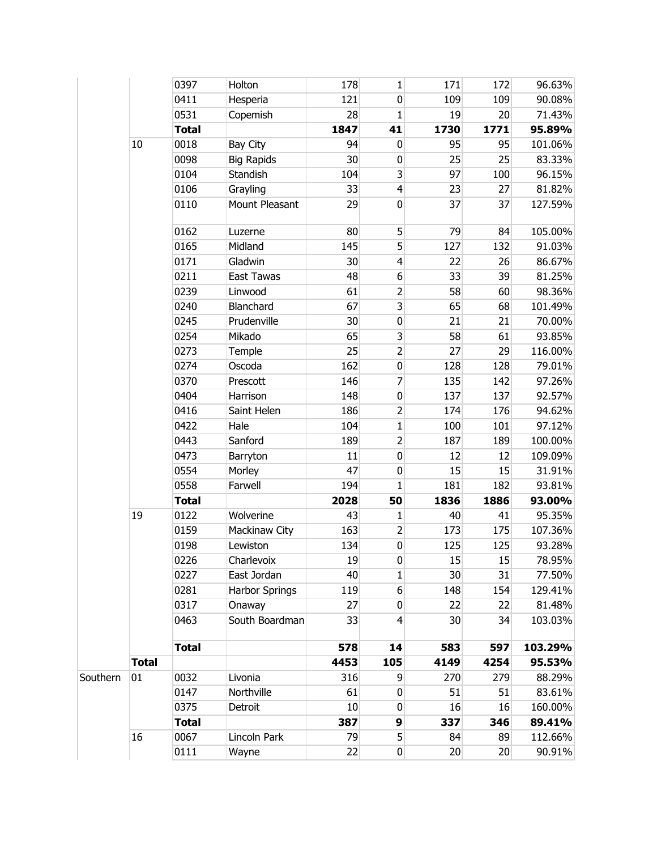|          |              | 0397         | Holton            | 178  | $\mathbf{1}$            | 171  | 172  | 96.63%  |
|----------|--------------|--------------|-------------------|------|-------------------------|------|------|---------|
|          |              | 0411         | Hesperia          | 121  | $\pmb{0}$               | 109  | 109  | 90.08%  |
|          |              | 0531         | Copemish          | 28   | $\mathbf{1}$            | 19   | 20   | 71.43%  |
|          |              | <b>Total</b> |                   | 1847 | 41                      | 1730 | 1771 | 95.89%  |
|          | 10           | 0018         | <b>Bay City</b>   | 94   | $\pmb{0}$               | 95   | 95   | 101.06% |
|          |              | 0098         | <b>Big Rapids</b> | 30   | $\pmb{0}$               | 25   | 25   | 83.33%  |
|          |              | 0104         | Standish          | 104  | $\overline{\mathbf{3}}$ | 97   | 100  | 96.15%  |
|          |              | 0106         | Grayling          | 33   | $\overline{4}$          | 23   | 27   | 81.82%  |
|          |              | 0110         | Mount Pleasant    | 29   | $\pmb{0}$               | 37   | 37   | 127.59% |
|          |              | 0162         | Luzerne           | 80   | 5                       | 79   | 84   | 105.00% |
|          |              | 0165         | Midland           | 145  | 5                       | 127  | 132  | 91.03%  |
|          |              | 0171         | Gladwin           | 30   | $\overline{4}$          | 22   | 26   | 86.67%  |
|          |              | 0211         | East Tawas        | 48   | $\boldsymbol{6}$        | 33   | 39   | 81.25%  |
|          |              | 0239         | Linwood           | 61   | $\overline{2}$          | 58   | 60   | 98.36%  |
|          |              | 0240         | Blanchard         | 67   | $\overline{\mathbf{3}}$ | 65   | 68   | 101.49% |
|          |              | 0245         | Prudenville       | 30   | $\pmb{0}$               | 21   | 21   | 70.00%  |
|          |              | 0254         | Mikado            | 65   | 3                       | 58   | 61   | 93.85%  |
|          |              | 0273         | Temple            | 25   | $\overline{2}$          | 27   | 29   | 116.00% |
|          |              | 0274         | Oscoda            | 162  | $\pmb{0}$               | 128  | 128  | 79.01%  |
|          |              | 0370         | Prescott          | 146  | 7                       | 135  | 142  | 97.26%  |
|          |              | 0404         | Harrison          | 148  | $\pmb{0}$               | 137  | 137  | 92.57%  |
|          |              | 0416         | Saint Helen       | 186  | $\overline{\mathbf{c}}$ | 174  | 176  | 94.62%  |
|          |              | 0422         | Hale              | 104  | $\mathbf{1}$            | 100  | 101  | 97.12%  |
|          |              | 0443         | Sanford           | 189  | $\overline{2}$          | 187  | 189  | 100.00% |
|          |              | 0473         | Barryton          | 11   | $\pmb{0}$               | 12   | 12   | 109.09% |
|          |              | 0554         | Morley            | 47   | 0                       | 15   | 15   | 31.91%  |
|          |              | 0558         | Farwell           | 194  | 1                       | 181  | 182  | 93.81%  |
|          |              | <b>Total</b> |                   | 2028 | 50                      | 1836 | 1886 | 93.00%  |
|          | 19           | 0122         | Wolverine         | 43   | 1                       | 40   | 41   | 95.35%  |
|          |              | 0159         | Mackinaw City     | 163  | $\overline{2}$          | 173  | 175  | 107.36% |
|          |              | 0198         | Lewiston          | 134  | $\pmb{0}$               | 125  | 125  | 93.28%  |
|          |              | 0226         | Charlevoix        | 19   | $\pmb{0}$               | 15   | 15   | 78.95%  |
|          |              | 0227         | East Jordan       | 40   | 1                       | 30   | 31   | 77.50%  |
|          |              | 0281         | Harbor Springs    | 119  | $6\,$                   | 148  | 154  | 129.41% |
|          |              | 0317         | Onaway            | 27   | 0                       | 22   | 22   | 81.48%  |
|          |              | 0463         | South Boardman    | 33   | 4                       | 30   | 34   | 103.03% |
|          |              | <b>Total</b> |                   | 578  | 14                      | 583  | 597  | 103.29% |
|          | <b>Total</b> |              |                   | 4453 | 105                     | 4149 | 4254 | 95.53%  |
| Southern | 01           | 0032         | Livonia           | 316  | 9                       | 270  | 279  | 88.29%  |
|          |              | 0147         | Northville        | 61   | $\pmb{0}$               | 51   | 51   | 83.61%  |
|          |              | 0375         | Detroit           | 10   | $\pmb{0}$               | 16   | 16   | 160.00% |
|          |              | <b>Total</b> |                   | 387  | 9                       | 337  | 346  | 89.41%  |
|          | 16           | 0067         | Lincoln Park      | 79   | 5                       | 84   | 89   | 112.66% |
|          |              | 0111         | Wayne             | 22   | $\boldsymbol{0}$        | 20   | 20   | 90.91%  |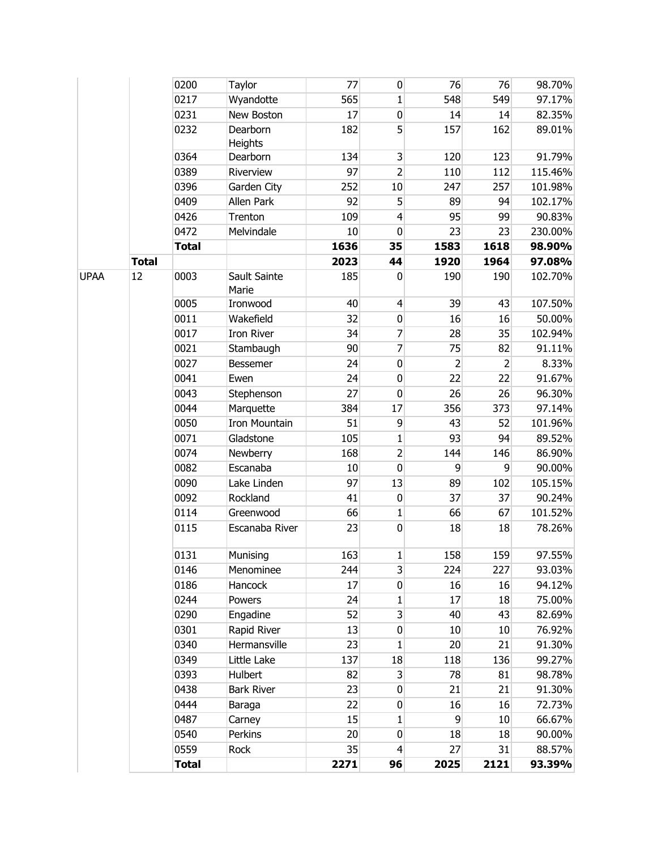|             |              | <b>Total</b> |                     | 2271         | 96                      | 2025                 | 2121                 | 93.39%           |
|-------------|--------------|--------------|---------------------|--------------|-------------------------|----------------------|----------------------|------------------|
|             |              | 0559         | Rock                | 35           | $\overline{4}$          | 27                   | 31                   | 88.57%           |
|             |              | 0540         | Perkins             | 20           | 0                       | 18                   | 18                   | 90.00%           |
|             |              | 0487         | Carney              | 15           | $\mathbf{1}$            | $\overline{9}$       | $10\,$               | 66.67%           |
|             |              | 0444         | Baraga              | 22           | $\boldsymbol{0}$        | 16                   | 16                   | 72.73%           |
|             |              | 0438         | <b>Bark River</b>   | 23           | $\boldsymbol{0}$        | 21                   | 21                   | 91.30%           |
|             |              | 0393         | Hulbert             | 82           | 3                       | 78                   | 81                   | 98.78%           |
|             |              | 0349         | Little Lake         | 137          | 18                      | 118                  | 136                  | 99.27%           |
|             |              | 0340         | Hermansville        | 23           | $\mathbf{1}$            | 20                   | 21                   | 91.30%           |
|             |              | 0301         | Rapid River         | 13           | 0                       | 10                   | 10                   | 76.92%           |
|             |              | 0290         | Engadine            | 52           | $\overline{\mathbf{3}}$ | 40                   | 43                   | 82.69%           |
|             |              | 0244         | Powers              | 24           | $\mathbf{1}$            | 17                   | 18                   | 75.00%           |
|             |              | 0186         | Hancock             | 17           | 0                       | 16                   | 16                   | 94.12%           |
|             |              | 0146         | Menominee           | 244          | 3                       | 224                  | 227                  | 93.03%           |
|             |              | 0131         | Munising            | 163          | $\mathbf{1}$            | 158                  | 159                  | 97.55%           |
|             |              | 0115         | Escanaba River      | 23           | $\pmb{0}$               | 18                   | 18                   | 78.26%           |
|             |              | 0114         | Greenwood           | 66           | $\mathbf{1}$            | 66                   | 67                   | 101.52%          |
|             |              | 0092         | Rockland            | 41           | $\pmb{0}$               | 37                   | 37                   | 90.24%           |
|             |              | 0090         | Lake Linden         | 97           | 13                      | 89                   | 102                  | 105.15%          |
|             |              | 0082         | Escanaba            | $10\,$       | $\pmb{0}$               | 9                    | 9                    | 90.00%           |
|             |              | 0074         | Newberry            | 168          | $\overline{2}$          | 144                  | 146                  | 86.90%           |
|             |              | 0071         | Gladstone           | 105          | $\mathbf{1}$            | 93                   | 94                   | 89.52%           |
|             |              | 0050         | Iron Mountain       | 51           | 9                       | 43                   | 52                   | 101.96%          |
|             |              | 0044         | Marquette           | 384          | 17                      | 356                  | 373                  | 97.14%           |
|             |              | 0043         | Ewen<br>Stephenson  | 27           | $\pmb{0}$               | 26                   | 26                   | 96.30%           |
|             |              | 0027<br>0041 | Bessemer            | 24<br>24     | $\pmb{0}$<br>$\pmb{0}$  | $\overline{2}$<br>22 | $\overline{2}$<br>22 | 8.33%<br>91.67%  |
|             |              | 0021         | Stambaugh           | 90           | $\overline{7}$          | 75                   | 82                   | 91.11%           |
|             |              | 0017         | <b>Iron River</b>   | 34           | 7                       | 28                   | 35                   | 102.94%          |
|             |              | 0011         | Wakefield           | 32           | $\overline{0}$          | 16                   | 16                   | 50.00%           |
|             |              | 0005         | Ironwood            | 40           | $\overline{4}$          | 39                   | 43                   | 107.50%          |
|             |              |              | Marie               |              |                         |                      |                      |                  |
| <b>UPAA</b> | 12           | 0003         | Sault Sainte        | 185          | 0                       | 190                  | 190                  | 102.70%          |
|             | <b>Total</b> | <b>Total</b> |                     | 1636<br>2023 | 35<br>44                | 1583<br>1920         | 1618<br>1964         | 98.90%<br>97.08% |
|             |              | 0472         | Melvindale          | 10           | $\pmb{0}$               | 23                   | 23                   | 230.00%          |
|             |              | 0426         | Trenton             | 109          | $\overline{4}$          | 95                   | 99                   | 90.83%           |
|             |              | 0409         | Allen Park          | 92           | 5                       | 89                   | 94                   | 102.17%          |
|             |              | 0396         | Garden City         | 252          | 10                      | 247                  | 257                  | 101.98%          |
|             |              | 0389         | Riverview           | 97           | $\overline{2}$          | 110                  | 112                  | 115.46%          |
|             |              | 0364         | Dearborn            | 134          | $\overline{\mathbf{3}}$ | 120                  | 123                  | 91.79%           |
|             |              | 0232         | Dearborn<br>Heights | 182          | $\mathsf{S}$            | 157                  | 162                  | 89.01%           |
|             |              | 0231         | New Boston          | 17           | $\pmb{0}$               | 14                   | 14                   | 82.35%           |
|             |              | 0217         | Wyandotte           | 565          | 1                       | 548                  | 549                  | 97.17%           |
|             |              | 0200         | Taylor              | 77           | $\pmb{0}$               | 76                   | 76                   | 98.70%           |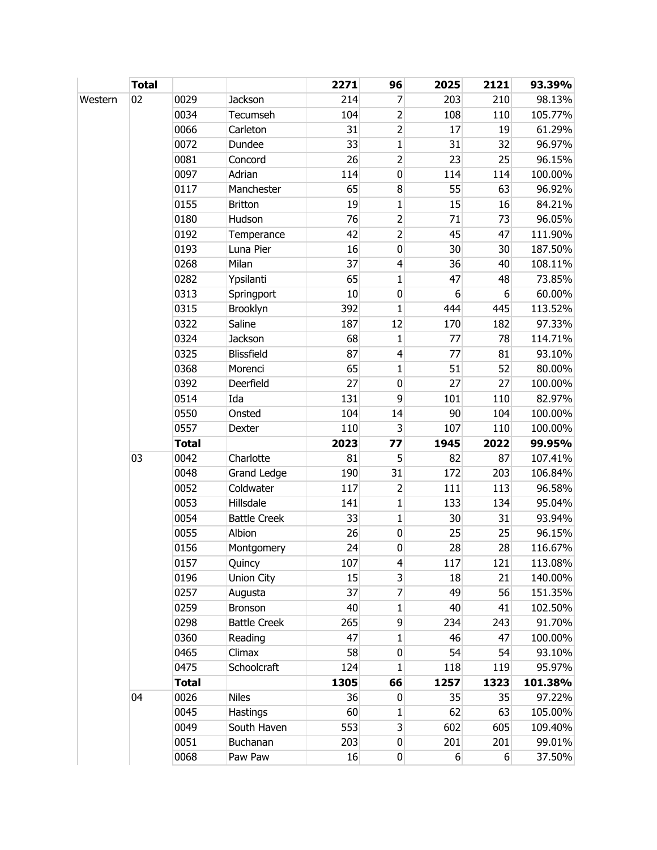|         | <b>Total</b> |              |                     | 2271 | 96                       | 2025     | 2121  | 93.39%  |
|---------|--------------|--------------|---------------------|------|--------------------------|----------|-------|---------|
| Western | 02           | 0029         | Jackson             | 214  | 7                        | 203      | 210   | 98.13%  |
|         |              | 0034         | Tecumseh            | 104  | 2                        | 108      | 110   | 105.77% |
|         |              | 0066         | Carleton            | 31   | 2                        | 17       | 19    | 61.29%  |
|         |              | 0072         | Dundee              | 33   | $\mathbf{1}$             | 31       | 32    | 96.97%  |
|         |              | 0081         | Concord             | 26   | $\overline{2}$           | 23       | 25    | 96.15%  |
|         |              | 0097         | Adrian              | 114  | $\pmb{0}$                | 114      | 114   | 100.00% |
|         |              | 0117         | Manchester          | 65   | 8                        | 55       | 63    | 96.92%  |
|         |              | 0155         | <b>Britton</b>      | 19   | 1                        | 15       | 16    | 84.21%  |
|         |              | 0180         | Hudson              | 76   | $\overline{2}$           | 71       | 73    | 96.05%  |
|         |              | 0192         | Temperance          | 42   | $\overline{2}$           | 45       | 47    | 111.90% |
|         |              | 0193         | Luna Pier           | 16   | $\mathbf 0$              | 30       | 30    | 187.50% |
|         |              | 0268         | Milan               | 37   | $\overline{\mathbf{4}}$  | 36       | 40    | 108.11% |
|         |              | 0282         | Ypsilanti           | 65   | $\mathbf{1}$             | 47       | 48    | 73.85%  |
|         |              | 0313         | Springport          | 10   | $\mathbf 0$              | 6        | 6     | 60.00%  |
|         |              | 0315         | Brooklyn            | 392  | $\mathbf{1}$             | 444      | 445   | 113.52% |
|         |              | 0322         | Saline              | 187  | 12                       | 170      | 182   | 97.33%  |
|         |              | 0324         | <b>Jackson</b>      | 68   | $\mathbf{1}$             | 77       | 78    | 114.71% |
|         |              | 0325         | Blissfield          | 87   | $\overline{\mathcal{L}}$ | 77       | 81    | 93.10%  |
|         |              | 0368         | Morenci             | 65   | $\mathbf{1}$             | 51       | 52    | 80.00%  |
|         |              | 0392         | Deerfield           | 27   | $\mathbf 0$              | 27       | 27    | 100.00% |
|         |              | 0514         | Ida                 | 131  | 9                        | 101      | 110   | 82.97%  |
|         |              | 0550         | Onsted              | 104  | 14                       | 90       | 104   | 100.00% |
|         |              | 0557         | Dexter              | 110  | 3                        | 107      | 110   | 100.00% |
|         |              | <b>Total</b> |                     | 2023 | 77                       | 1945     | 2022  | 99.95%  |
|         | 03           | 0042         | Charlotte           | 81   | 5                        | 82       | 87    | 107.41% |
|         |              | 0048         | <b>Grand Ledge</b>  | 190  | 31                       | 172      | 203   | 106.84% |
|         |              | 0052         | Coldwater           | 117  | 2                        | 111      | 113   | 96.58%  |
|         |              | 0053         | Hillsdale           | 141  | $\mathbf{1}$             | 133      | 134   | 95.04%  |
|         |              | 0054         | <b>Battle Creek</b> | 33   | $\mathbf{1}$             | 30       | 31    | 93.94%  |
|         |              | 0055         | Albion              | 26   | $\pmb{0}$                | 25       | 25    | 96.15%  |
|         |              | 0156         | Montgomery          | 24   | $\pmb{0}$                | 28       | 28    | 116.67% |
|         |              | 0157         | Quincy              | 107  | 4                        | 117      | 121   | 113.08% |
|         |              | 0196         | Union City          | 15   | $\overline{3}$           | 18       | 21    | 140.00% |
|         |              | 0257         | Augusta             | 37   | $\overline{7}$           | 49       | 56    | 151.35% |
|         |              | 0259         | Bronson             | 40   | $\mathbf{1}$             | 40       | 41    | 102.50% |
|         |              | 0298         | <b>Battle Creek</b> | 265  | 9                        | 234      | 243   | 91.70%  |
|         |              | 0360         | Reading             | 47   | $\mathbf{1}$             | 46       | 47    | 100.00% |
|         |              | 0465         | Climax              | 58   | $\pmb{0}$                | 54       | 54    | 93.10%  |
|         |              | 0475         | Schoolcraft         | 124  | 1                        | 118      | 119   | 95.97%  |
|         |              | <b>Total</b> |                     | 1305 | 66                       | 1257     | 1323  | 101.38% |
|         | 04           | 0026         | <b>Niles</b>        | 36   | 0                        | 35       | 35    | 97.22%  |
|         |              | 0045         | Hastings            | 60   | 1                        | 62       | 63    | 105.00% |
|         |              | 0049         | South Haven         | 553  | 3                        | 602      | 605   | 109.40% |
|         |              | 0051         | Buchanan            | 203  | $\boldsymbol{0}$         | 201      | 201   | 99.01%  |
|         |              | 0068         | Paw Paw             | 16   | $\overline{0}$           | $6 \mid$ | $6\,$ | 37.50%  |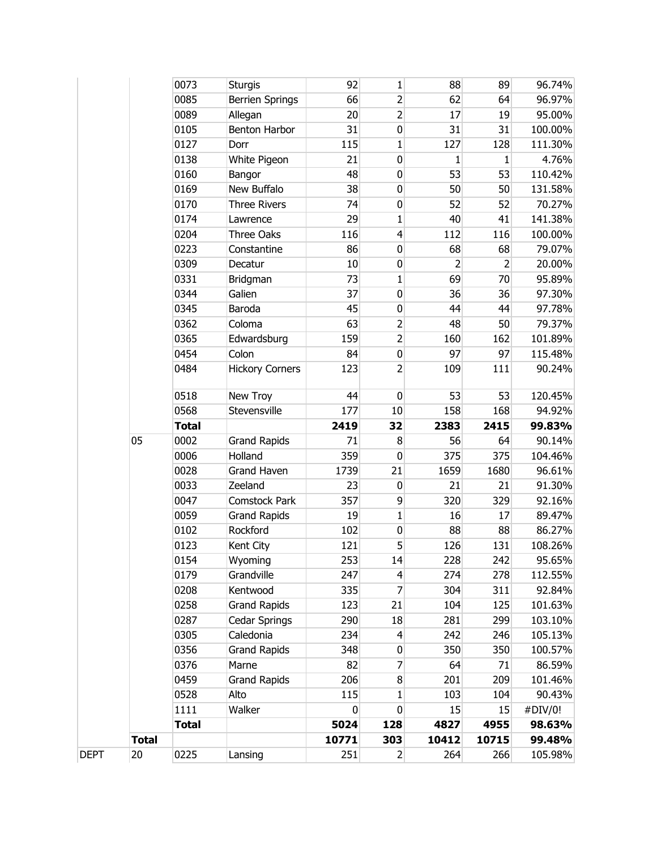|              | 0073         | <b>Sturgis</b>         | 92          | $\mathbf{1}$     | 88             | 89           | 96.74%  |
|--------------|--------------|------------------------|-------------|------------------|----------------|--------------|---------|
|              | 0085         | <b>Berrien Springs</b> | 66          | $\overline{2}$   | 62             | 64           | 96.97%  |
|              | 0089         | Allegan                | 20          | $\overline{2}$   | 17             | 19           | 95.00%  |
|              | 0105         | Benton Harbor          | 31          | 0                | 31             | 31           | 100.00% |
|              | 0127         | Dorr                   | 115         | $\mathbf{1}$     | 127            | 128          | 111.30% |
|              | 0138         | White Pigeon           | 21          | $\mathbf 0$      | $\mathbf{1}$   | $\mathbf{1}$ | 4.76%   |
|              | 0160         | Bangor                 | 48          | 0                | 53             | 53           | 110.42% |
|              | 0169         | New Buffalo            | 38          | 0                | 50             | 50           | 131.58% |
|              | 0170         | <b>Three Rivers</b>    | 74          | $\pmb{0}$        | 52             | 52           | 70.27%  |
|              | 0174         | Lawrence               | 29          | 1                | 40             | 41           | 141.38% |
|              | 0204         | <b>Three Oaks</b>      | 116         | $\overline{4}$   | 112            | 116          | 100.00% |
|              | 0223         | Constantine            | 86          | 0                | 68             | 68           | 79.07%  |
|              | 0309         | Decatur                | 10          | 0                | $\overline{2}$ | 2            | 20.00%  |
|              | 0331         | Bridgman               | 73          | $\mathbf{1}$     | 69             | 70           | 95.89%  |
|              | 0344         | Galien                 | 37          | $\pmb{0}$        | 36             | 36           | 97.30%  |
|              | 0345         | Baroda                 | 45          | 0                | 44             | 44           | 97.78%  |
|              | 0362         | Coloma                 | 63          | $\overline{2}$   | 48             | 50           | 79.37%  |
|              | 0365         | Edwardsburg            | 159         | $\overline{2}$   | 160            | 162          | 101.89% |
|              | 0454         | Colon                  | 84          | 0                | 97             | 97           | 115.48% |
|              | 0484         | <b>Hickory Corners</b> | 123         | $\overline{2}$   | 109            | 111          | 90.24%  |
|              | 0518         | New Troy               | 44          | $\mathbf 0$      | 53             | 53           | 120.45% |
|              | 0568         | Stevensville           | 177         | 10               | 158            | 168          | 94.92%  |
|              |              |                        |             |                  |                |              |         |
|              | <b>Total</b> |                        | 2419        | 32               | 2383           | 2415         | 99.83%  |
| 05           | 0002         | <b>Grand Rapids</b>    | 71          | 8                | 56             | 64           | 90.14%  |
|              | 0006         | Holland                | 359         | $\mathbf 0$      | 375            | 375          | 104.46% |
|              | 0028         | <b>Grand Haven</b>     | 1739        | 21               | 1659           | 1680         | 96.61%  |
|              | 0033         | Zeeland                | 23          | $\boldsymbol{0}$ | 21             | 21           | 91.30%  |
|              | 0047         | Comstock Park          | 357         | 9                | 320            | 329          | 92.16%  |
|              | 0059         | <b>Grand Rapids</b>    | 19          | $\mathbf{1}$     | 16             | 17           | 89.47%  |
|              | 0102         | Rockford               | 102         | $\pmb{0}$        | 88             | 88           | 86.27%  |
|              | 0123         | Kent City              | 121         | 5                | 126            | 131          | 108.26% |
|              | 0154         | Wyoming                | 253         | 14               | 228            | 242          | 95.65%  |
|              | 0179         | Grandville             | 247         | $\overline{4}$   | 274            | 278          | 112.55% |
|              | 0208         | Kentwood               | 335         | 7                | 304            | 311          | 92.84%  |
|              | 0258         | <b>Grand Rapids</b>    | 123         | 21               | 104            | 125          | 101.63% |
|              | 0287         | Cedar Springs          | 290         | 18               | 281            | 299          | 103.10% |
|              | 0305         | Caledonia              | 234         | $\overline{4}$   | 242            | 246          | 105.13% |
|              | 0356         | <b>Grand Rapids</b>    | 348         | 0                | 350            | 350          | 100.57% |
|              | 0376         | Marne                  | 82          | 7                | 64             | 71           | 86.59%  |
|              | 0459         | <b>Grand Rapids</b>    | 206         | 8                | 201            | 209          | 101.46% |
|              | 0528         | Alto                   | 115         | 1                | 103            | 104          | 90.43%  |
|              | 1111         | Walker                 | $\mathbf 0$ | 0                | 15             | 15           | #DIV/0! |
|              | <b>Total</b> |                        | 5024        | 128              | 4827           | 4955         | 98.63%  |
| <b>Total</b> |              |                        | 10771       | 303              | 10412          | 10715        | 99.48%  |